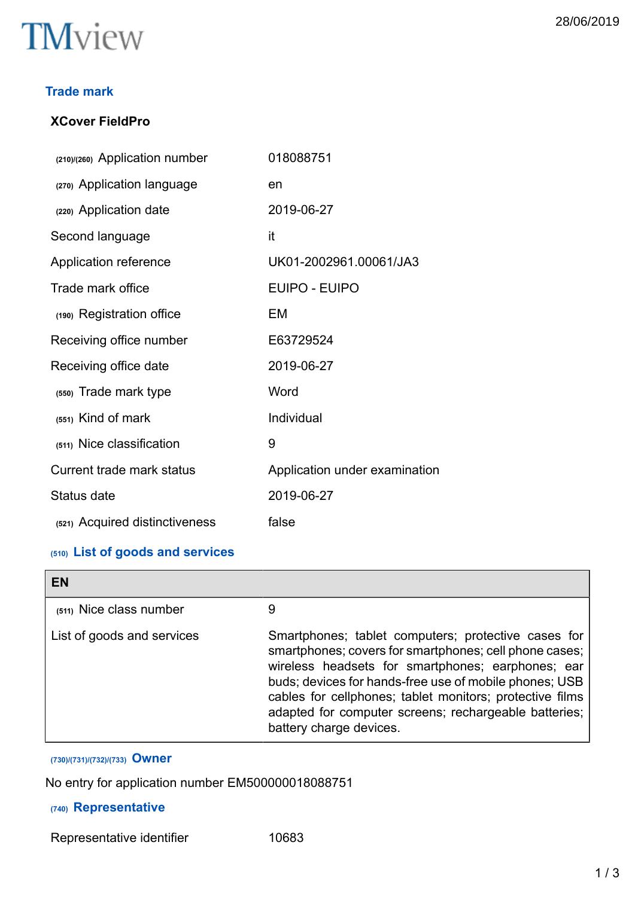

#### **Trade mark**

#### **XCover FieldPro**

| (210)/(260) Application number | 018088751                     |
|--------------------------------|-------------------------------|
| (270) Application language     | en                            |
| (220) Application date         | 2019-06-27                    |
| Second language                | it                            |
| Application reference          | UK01-2002961.00061/JA3        |
| Trade mark office              | <b>EUIPO - EUIPO</b>          |
| (190) Registration office      | EM                            |
| Receiving office number        | E63729524                     |
| Receiving office date          | 2019-06-27                    |
| (550) Trade mark type          | Word                          |
| $(551)$ Kind of mark           | Individual                    |
| (511) Nice classification      | 9                             |
| Current trade mark status      | Application under examination |
| Status date                    | 2019-06-27                    |
| (521) Acquired distinctiveness | false                         |
|                                |                               |

#### **(510) List of goods and services**

| EN                         |                                                                                                                                                                                                                                                                                                                                                                              |
|----------------------------|------------------------------------------------------------------------------------------------------------------------------------------------------------------------------------------------------------------------------------------------------------------------------------------------------------------------------------------------------------------------------|
| (511) Nice class number    | 9                                                                                                                                                                                                                                                                                                                                                                            |
| List of goods and services | Smartphones; tablet computers; protective cases for<br>smartphones; covers for smartphones; cell phone cases;<br>wireless headsets for smartphones; earphones; ear<br>buds; devices for hands-free use of mobile phones; USB<br>cables for cellphones; tablet monitors; protective films<br>adapted for computer screens; rechargeable batteries;<br>battery charge devices. |

# **(730)/(731)/(732)/(733) Owner**

No entry for application number EM500000018088751

#### **(740) Representative**

Representative identifier 10683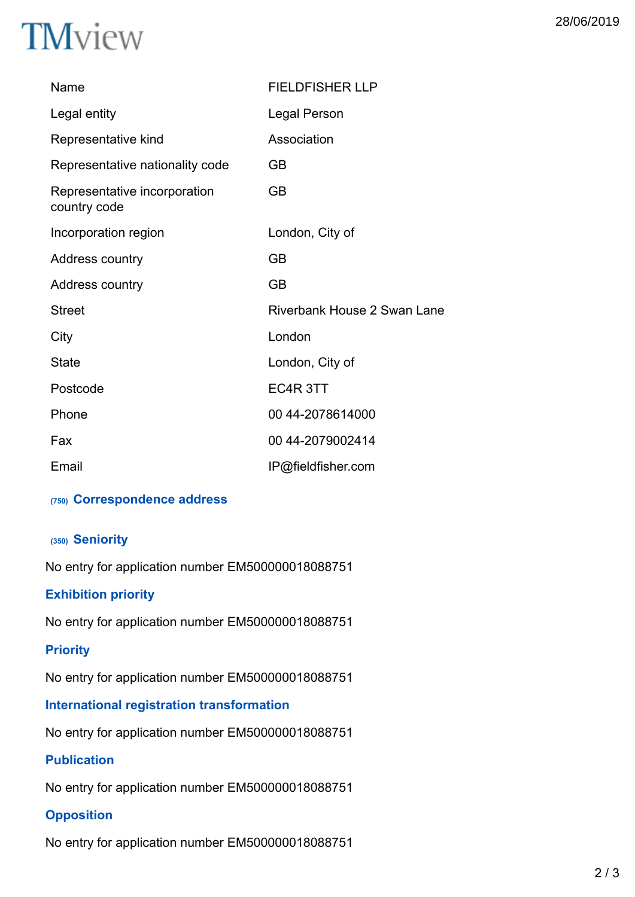# **TM**view

| Name                                         | <b>FIELDFISHER LLP</b>      |
|----------------------------------------------|-----------------------------|
| Legal entity                                 | Legal Person                |
| Representative kind                          | Association                 |
| Representative nationality code              | <b>GB</b>                   |
| Representative incorporation<br>country code | <b>GB</b>                   |
| Incorporation region                         | London, City of             |
| Address country                              | <b>GB</b>                   |
| Address country                              | <b>GB</b>                   |
| <b>Street</b>                                | Riverbank House 2 Swan Lane |
| City                                         | London                      |
| <b>State</b>                                 | London, City of             |
| Postcode                                     | EC4R 3TT                    |
| Phone                                        | 00 44-2078614000            |
| Fax                                          | 00 44-2079002414            |
| Email                                        | IP@fieldfisher.com          |

#### **(750) Correspondence address**

#### **(350) Seniority**

No entry for application number EM500000018088751

#### **Exhibition priority**

No entry for application number EM500000018088751

#### **Priority**

No entry for application number EM500000018088751

#### **International registration transformation**

No entry for application number EM500000018088751

#### **Publication**

No entry for application number EM500000018088751

### **Opposition**

No entry for application number EM500000018088751